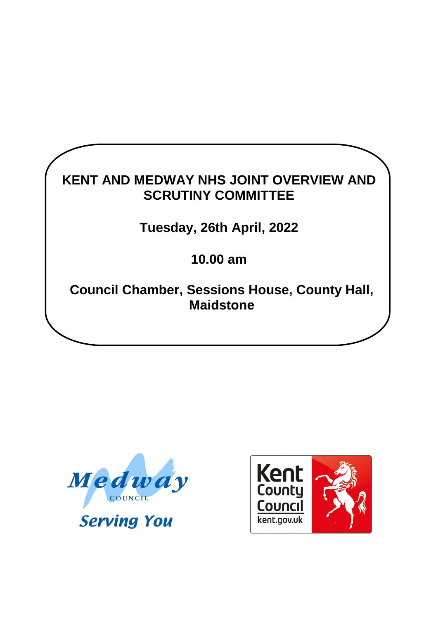# **KENT AND MEDWAY NHS JOINT OVERVIEW AND SCRUTINY COMMITTEE Tuesday, 26th April, 2022**

**10.00 am**

**Council Chamber, Sessions House, County Hall, Maidstone**



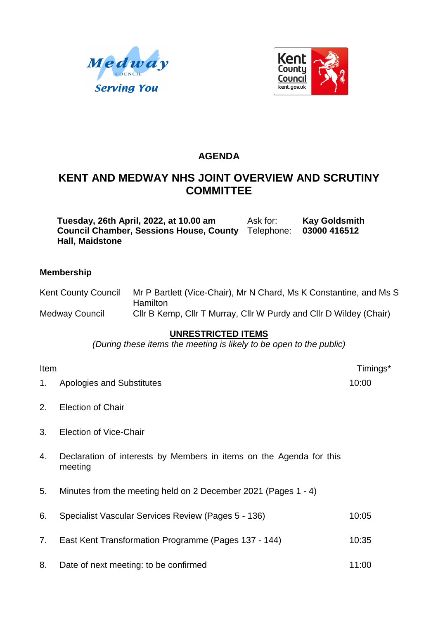



# **AGENDA**

# **KENT AND MEDWAY NHS JOINT OVERVIEW AND SCRUTINY COMMITTEE**

**Tuesday, 26th April, 2022, at 10.00 am** Ask for: **Kay Goldsmith**<br> **Council Chamber, Sessions House, County** Telephone: 03000 416512 **Council Chamber, Sessions House, County**  Telephone: **03000 416512 Hall, Maidstone**

#### **Membership**

| <b>Kent County Council</b> | Mr P Bartlett (Vice-Chair), Mr N Chard, Ms K Constantine, and Ms S |
|----------------------------|--------------------------------------------------------------------|
|                            | <b>Hamilton</b>                                                    |
| Medway Council             | Cllr B Kemp, Cllr T Murray, Cllr W Purdy and Cllr D Wildey (Chair) |

#### **UNRESTRICTED ITEMS**

*(During these items the meeting is likely to be open to the public)*

1. Apologies and Substitutes 10:00

2. Election of Chair

- 3. Election of Vice-Chair
- 4. Declaration of interests by Members in items on the Agenda for this meeting
- 5. Minutes from the meeting held on 2 December 2021 (Pages 1 4)
- 6. Specialist Vascular Services Review (Pages 5 136) 10:05
- 7. East Kent Transformation Programme (Pages 137 144) 10:35
- 8. Date of next meeting: to be confirmed 11:00

Item Timings\*